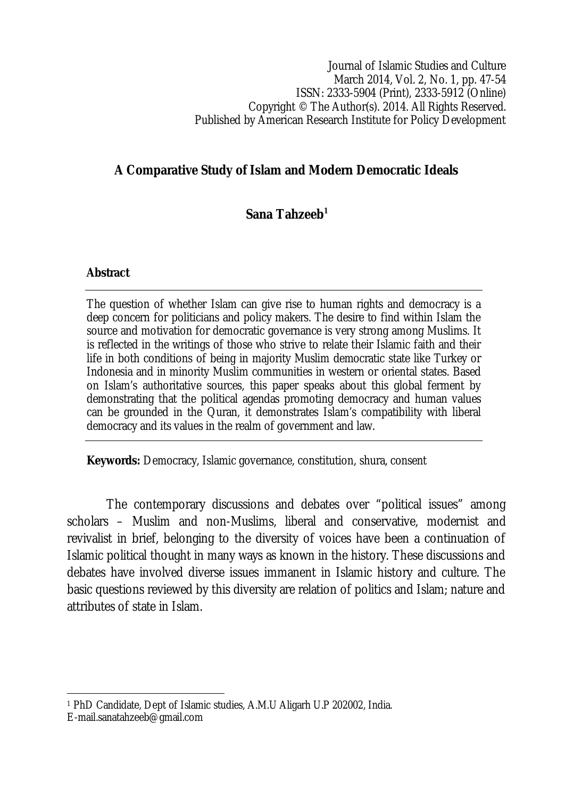Journal of Islamic Studies and Culture March 2014, Vol. 2, No. 1, pp. 47-54 ISSN: 2333-5904 (Print), 2333-5912 (Online) Copyright © The Author(s). 2014. All Rights Reserved. Published by American Research Institute for Policy Development

# **A Comparative Study of Islam and Modern Democratic Ideals**

## **Sana Tahzeeb<sup>1</sup>**

### **Abstract**

The question of whether Islam can give rise to human rights and democracy is a deep concern for politicians and policy makers. The desire to find within Islam the source and motivation for democratic governance is very strong among Muslims. It is reflected in the writings of those who strive to relate their Islamic faith and their life in both conditions of being in majority Muslim democratic state like Turkey or Indonesia and in minority Muslim communities in western or oriental states. Based on Islam's authoritative sources, this paper speaks about this global ferment by demonstrating that the political agendas promoting democracy and human values can be grounded in the Quran, it demonstrates Islam's compatibility with liberal democracy and its values in the realm of government and law.

**Keywords:** Democracy, Islamic governance, constitution, shura, consent

The contemporary discussions and debates over "political issues" among scholars – Muslim and non-Muslims, liberal and conservative, modernist and revivalist in brief, belonging to the diversity of voices have been a continuation of Islamic political thought in many ways as known in the history. These discussions and debates have involved diverse issues immanent in Islamic history and culture. The basic questions reviewed by this diversity are relation of politics and Islam; nature and attributes of state in Islam.

 $\overline{\phantom{a}}$ <sup>1</sup> PhD Candidate, Dept of Islamic studies, A.M.U Aligarh U.P 202002, India. E-mail.sanatahzeeb@gmail.com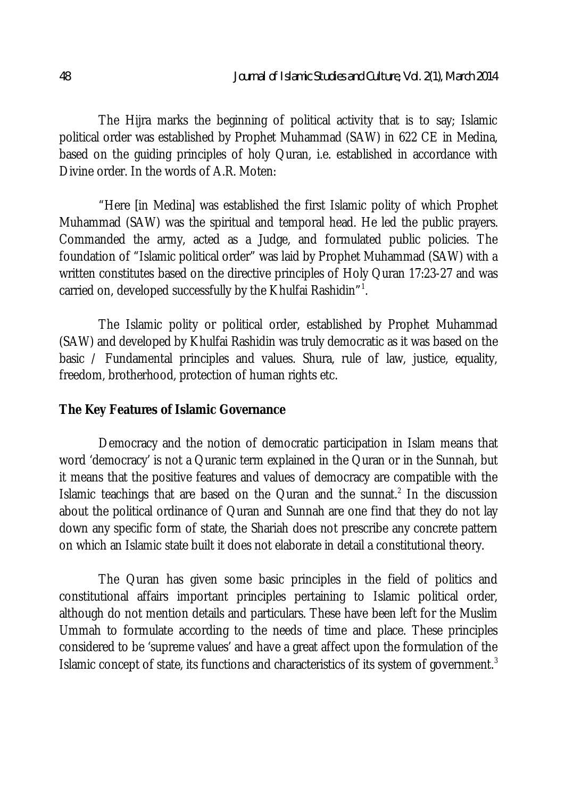The Hijra marks the beginning of political activity that is to say; Islamic political order was established by Prophet Muhammad (SAW) in 622 CE in Medina, based on the guiding principles of holy Quran, i.e. established in accordance with Divine order. In the words of A.R. Moten:

"Here [in Medina] was established the first Islamic polity of which Prophet Muhammad (SAW) was the spiritual and temporal head. He led the public prayers. Commanded the army, acted as a Judge, and formulated public policies. The foundation of "Islamic political order" was laid by Prophet Muhammad (SAW) with a written constitutes based on the directive principles of Holy Quran 17:23-27 and was carried on, developed successfully by the Khulfai Rashidin" $^{\rm 1}.$ 

The Islamic polity or political order, established by Prophet Muhammad (SAW) and developed by Khulfai Rashidin was truly democratic as it was based on the basic / Fundamental principles and values. Shura, rule of law, justice, equality, freedom, brotherhood, protection of human rights etc.

#### **The Key Features of Islamic Governance**

Democracy and the notion of democratic participation in Islam means that word 'democracy' is not a Quranic term explained in the Quran or in the Sunnah, but it means that the positive features and values of democracy are compatible with the Islamic teachings that are based on the Quran and the sunnat.<sup>2</sup> In the discussion about the political ordinance of Quran and Sunnah are one find that they do not lay down any specific form of state, the Shariah does not prescribe any concrete pattern on which an Islamic state built it does not elaborate in detail a constitutional theory.

The Quran has given some basic principles in the field of politics and constitutional affairs important principles pertaining to Islamic political order, although do not mention details and particulars. These have been left for the Muslim Ummah to formulate according to the needs of time and place. These principles considered to be 'supreme values' and have a great affect upon the formulation of the Islamic concept of state, its functions and characteristics of its system of government.<sup>3</sup>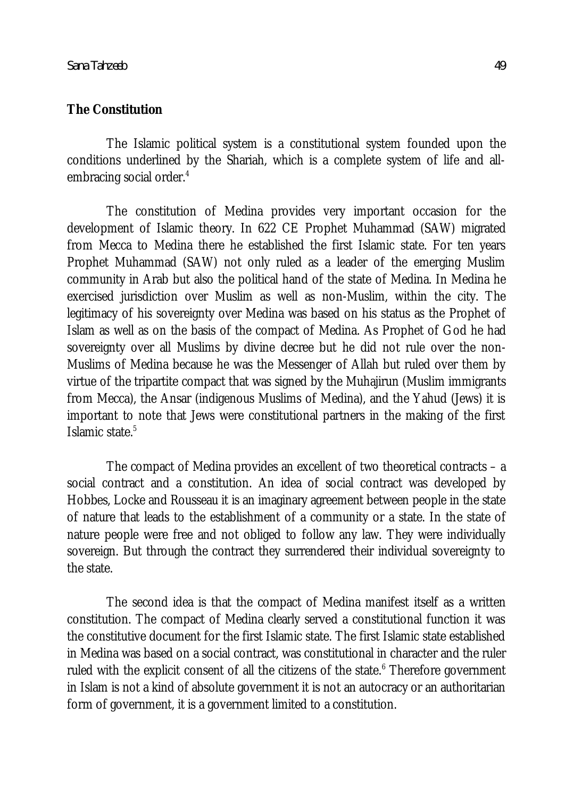### **The Constitution**

The Islamic political system is a constitutional system founded upon the conditions underlined by the Shariah, which is a complete system of life and allembracing social order.<sup>4</sup>

The constitution of Medina provides very important occasion for the development of Islamic theory. In 622 CE Prophet Muhammad (SAW) migrated from Mecca to Medina there he established the first Islamic state. For ten years Prophet Muhammad (SAW) not only ruled as a leader of the emerging Muslim community in Arab but also the political hand of the state of Medina. In Medina he exercised jurisdiction over Muslim as well as non-Muslim, within the city. The legitimacy of his sovereignty over Medina was based on his status as the Prophet of Islam as well as on the basis of the compact of Medina. As Prophet of God he had sovereignty over all Muslims by divine decree but he did not rule over the non-Muslims of Medina because he was the Messenger of Allah but ruled over them by virtue of the tripartite compact that was signed by the Muhajirun (Muslim immigrants from Mecca), the Ansar (indigenous Muslims of Medina), and the Yahud (Jews) it is important to note that Jews were constitutional partners in the making of the first Islamic state.<sup>5</sup>

The compact of Medina provides an excellent of two theoretical contracts – a social contract and a constitution. An idea of social contract was developed by Hobbes, Locke and Rousseau it is an imaginary agreement between people in the state of nature that leads to the establishment of a community or a state. In the state of nature people were free and not obliged to follow any law. They were individually sovereign. But through the contract they surrendered their individual sovereignty to the state.

The second idea is that the compact of Medina manifest itself as a written constitution. The compact of Medina clearly served a constitutional function it was the constitutive document for the first Islamic state. The first Islamic state established in Medina was based on a social contract, was constitutional in character and the ruler ruled with the explicit consent of all the citizens of the state.<sup>6</sup> Therefore government in Islam is not a kind of absolute government it is not an autocracy or an authoritarian form of government, it is a government limited to a constitution.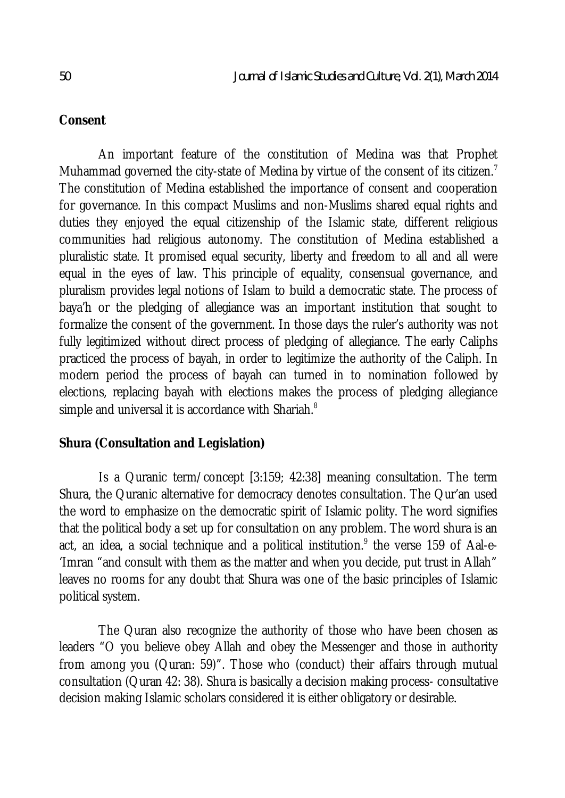## **Consent**

An important feature of the constitution of Medina was that Prophet Muhammad governed the city-state of Medina by virtue of the consent of its citizen.<sup>7</sup> The constitution of Medina established the importance of consent and cooperation for governance. In this compact Muslims and non-Muslims shared equal rights and duties they enjoyed the equal citizenship of the Islamic state, different religious communities had religious autonomy. The constitution of Medina established a pluralistic state. It promised equal security, liberty and freedom to all and all were equal in the eyes of law. This principle of equality, consensual governance, and pluralism provides legal notions of Islam to build a democratic state. The process of baya'h or the pledging of allegiance was an important institution that sought to formalize the consent of the government. In those days the ruler's authority was not fully legitimized without direct process of pledging of allegiance. The early Caliphs practiced the process of bayah, in order to legitimize the authority of the Caliph. In modern period the process of bayah can turned in to nomination followed by elections, replacing bayah with elections makes the process of pledging allegiance simple and universal it is accordance with Shariah.<sup>8</sup>

## **Shura (Consultation and Legislation)**

Is a Quranic term/concept [3:159; 42:38] meaning consultation. The term Shura, the Quranic alternative for democracy denotes consultation. The Qur'an used the word to emphasize on the democratic spirit of Islamic polity. The word signifies that the political body a set up for consultation on any problem. The word shura is an act, an idea, a social technique and a political institution. $^{\circ}$  the verse 159 of Aal-e-'Imran "and consult with them as the matter and when you decide, put trust in Allah" leaves no rooms for any doubt that Shura was one of the basic principles of Islamic political system.

The Quran also recognize the authority of those who have been chosen as leaders "O you believe obey Allah and obey the Messenger and those in authority from among you (Quran: 59)". Those who (conduct) their affairs through mutual consultation (Quran 42: 38). Shura is basically a decision making process- consultative decision making Islamic scholars considered it is either obligatory or desirable.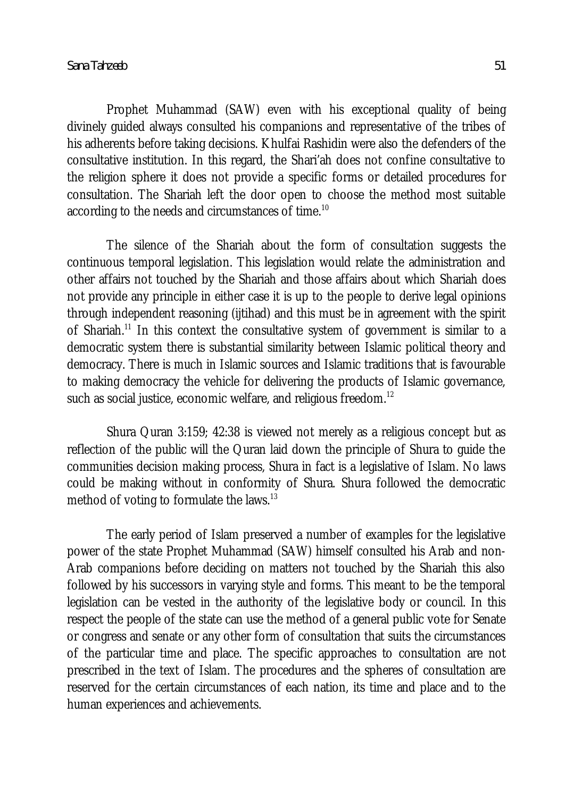Prophet Muhammad (SAW) even with his exceptional quality of being divinely guided always consulted his companions and representative of the tribes of his adherents before taking decisions. Khulfai Rashidin were also the defenders of the consultative institution. In this regard, the Shari'ah does not confine consultative to the religion sphere it does not provide a specific forms or detailed procedures for consultation. The Shariah left the door open to choose the method most suitable according to the needs and circumstances of time.<sup>10</sup>

The silence of the Shariah about the form of consultation suggests the continuous temporal legislation. This legislation would relate the administration and other affairs not touched by the Shariah and those affairs about which Shariah does not provide any principle in either case it is up to the people to derive legal opinions through independent reasoning (ijtihad) and this must be in agreement with the spirit of Shariah.<sup>11</sup> In this context the consultative system of government is similar to a democratic system there is substantial similarity between Islamic political theory and democracy. There is much in Islamic sources and Islamic traditions that is favourable to making democracy the vehicle for delivering the products of Islamic governance, such as social justice, economic welfare, and religious freedom.<sup>12</sup>

Shura Quran 3:159; 42:38 is viewed not merely as a religious concept but as reflection of the public will the Quran laid down the principle of Shura to guide the communities decision making process, Shura in fact is a legislative of Islam. No laws could be making without in conformity of Shura. Shura followed the democratic method of voting to formulate the laws.<sup>13</sup>

The early period of Islam preserved a number of examples for the legislative power of the state Prophet Muhammad (SAW) himself consulted his Arab and non-Arab companions before deciding on matters not touched by the Shariah this also followed by his successors in varying style and forms. This meant to be the temporal legislation can be vested in the authority of the legislative body or council. In this respect the people of the state can use the method of a general public vote for Senate or congress and senate or any other form of consultation that suits the circumstances of the particular time and place. The specific approaches to consultation are not prescribed in the text of Islam. The procedures and the spheres of consultation are reserved for the certain circumstances of each nation, its time and place and to the human experiences and achievements.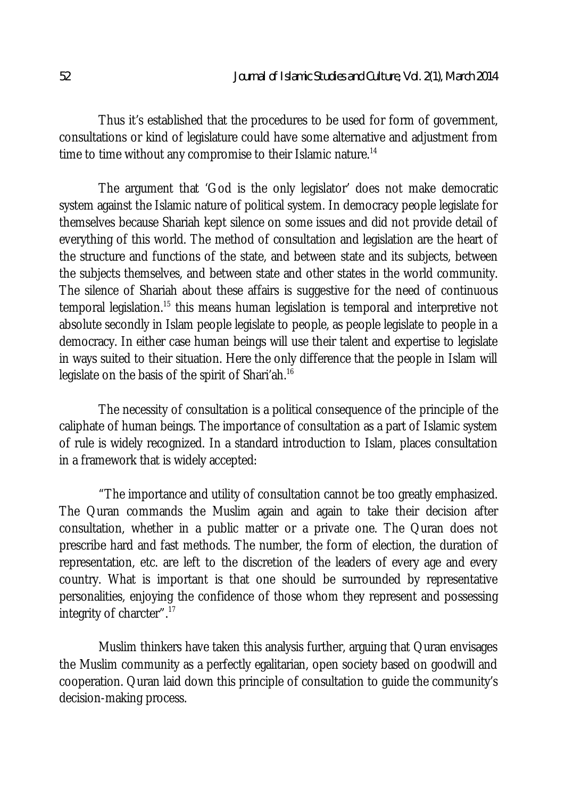Thus it's established that the procedures to be used for form of government, consultations or kind of legislature could have some alternative and adjustment from time to time without any compromise to their Islamic nature.<sup>14</sup>

The argument that 'God is the only legislator' does not make democratic system against the Islamic nature of political system. In democracy people legislate for themselves because Shariah kept silence on some issues and did not provide detail of everything of this world. The method of consultation and legislation are the heart of the structure and functions of the state, and between state and its subjects, between the subjects themselves, and between state and other states in the world community. The silence of Shariah about these affairs is suggestive for the need of continuous temporal legislation.<sup>15</sup> this means human legislation is temporal and interpretive not absolute secondly in Islam people legislate to people, as people legislate to people in a democracy. In either case human beings will use their talent and expertise to legislate in ways suited to their situation. Here the only difference that the people in Islam will legislate on the basis of the spirit of Shari'ah.<sup>16</sup>

The necessity of consultation is a political consequence of the principle of the caliphate of human beings. The importance of consultation as a part of Islamic system of rule is widely recognized. In a standard introduction to Islam, places consultation in a framework that is widely accepted:

"The importance and utility of consultation cannot be too greatly emphasized. The Quran commands the Muslim again and again to take their decision after consultation, whether in a public matter or a private one. The Quran does not prescribe hard and fast methods. The number, the form of election, the duration of representation, etc. are left to the discretion of the leaders of every age and every country. What is important is that one should be surrounded by representative personalities, enjoying the confidence of those whom they represent and possessing integrity of charcter".<sup>17</sup>

Muslim thinkers have taken this analysis further, arguing that Quran envisages the Muslim community as a perfectly egalitarian, open society based on goodwill and cooperation. Quran laid down this principle of consultation to guide the community's decision-making process.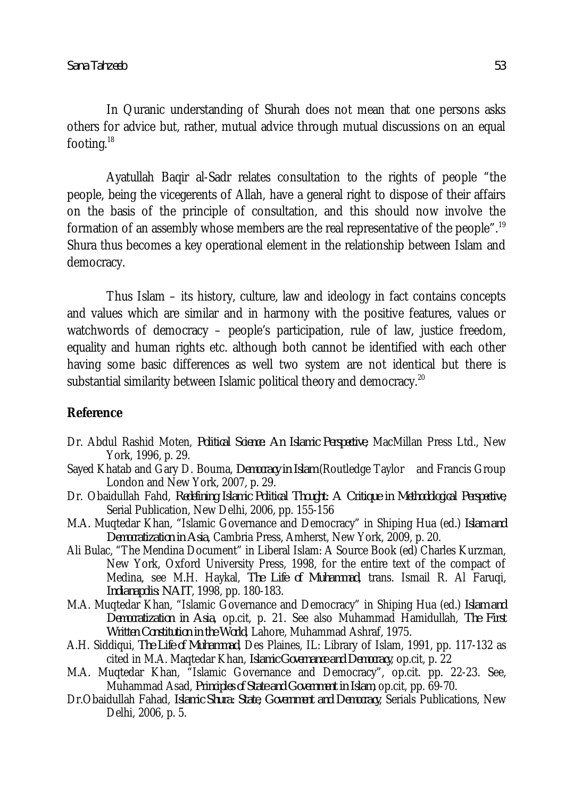In Quranic understanding of Shurah does not mean that one persons asks others for advice but, rather, mutual advice through mutual discussions on an equal footing.<sup>18</sup>

Ayatullah Baqir al-Sadr relates consultation to the rights of people "the people, being the vicegerents of Allah, have a general right to dispose of their affairs on the basis of the principle of consultation, and this should now involve the formation of an assembly whose members are the real representative of the people".<sup>19</sup> Shura thus becomes a key operational element in the relationship between Islam and democracy.

Thus Islam – its history, culture, law and ideology in fact contains concepts and values which are similar and in harmony with the positive features, values or watchwords of democracy – people's participation, rule of law, justice freedom, equality and human rights etc. although both cannot be identified with each other having some basic differences as well two system are not identical but there is substantial similarity between Islamic political theory and democracy.<sup>20</sup>

## **Reference**

- Dr. Abdul Rashid Moten, *Political Science: An Islamic Perspective*, MacMillan Press Ltd., New York, 1996, p. 29.
- Sayed Khatab and Gary D. Bouma, *Democracy in Islam* (Routledge Taylor and Francis Group London and New York, 2007, p. 29.
- Dr. Obaidullah Fahd, *Redefining Islamic Political Thought: A Critique in Methodological Perspective*, Serial Publication, New Delhi, 2006, pp. 155-156
- M.A. Muqtedar Khan, "Islamic Governance and Democracy" in Shiping Hua (ed.) *Islam and Democratization in Asia*, Cambria Press, Amherst, New York, 2009, p. 20.
- Ali Bulac, "The Mendina Document" in Liberal Islam: A Source Book (ed) Charles Kurzman, New York, Oxford University Press, 1998, for the entire text of the compact of Medina, see M.H. Haykal, *The Life of Muhammad*, trans. Ismail R. Al Faruqi, *Indianapolis: NAIT*, 1998, pp. 180-183.
- M.A. Muqtedar Khan, "Islamic Governance and Democracy" in Shiping Hua (ed.) *Islam and Democratization in Asia*, op.cit, p. 21. See also Muhammad Hamidullah, *The First Written Constitution in the World*, Lahore, Muhammad Ashraf, 1975.
- A.H. Siddiqui, *The Life of Muhammad*, Des Plaines, IL: Library of Islam, 1991, pp. 117-132 as cited in M.A. Maqtedar Khan, *Islamic Governance and Democracy*, op.cit, p. 22
- M.A. Muqtedar Khan, "Islamic Governance and Democracy", op.cit. pp. 22-23. See, Muhammad Asad, *Principles of State and Government in Islam*, op.cit, pp. 69-70.
- Dr.Obaidullah Fahad, *Islamic Shura: State, Government and Democracy*, Serials Publications, New Delhi, 2006, p. 5.